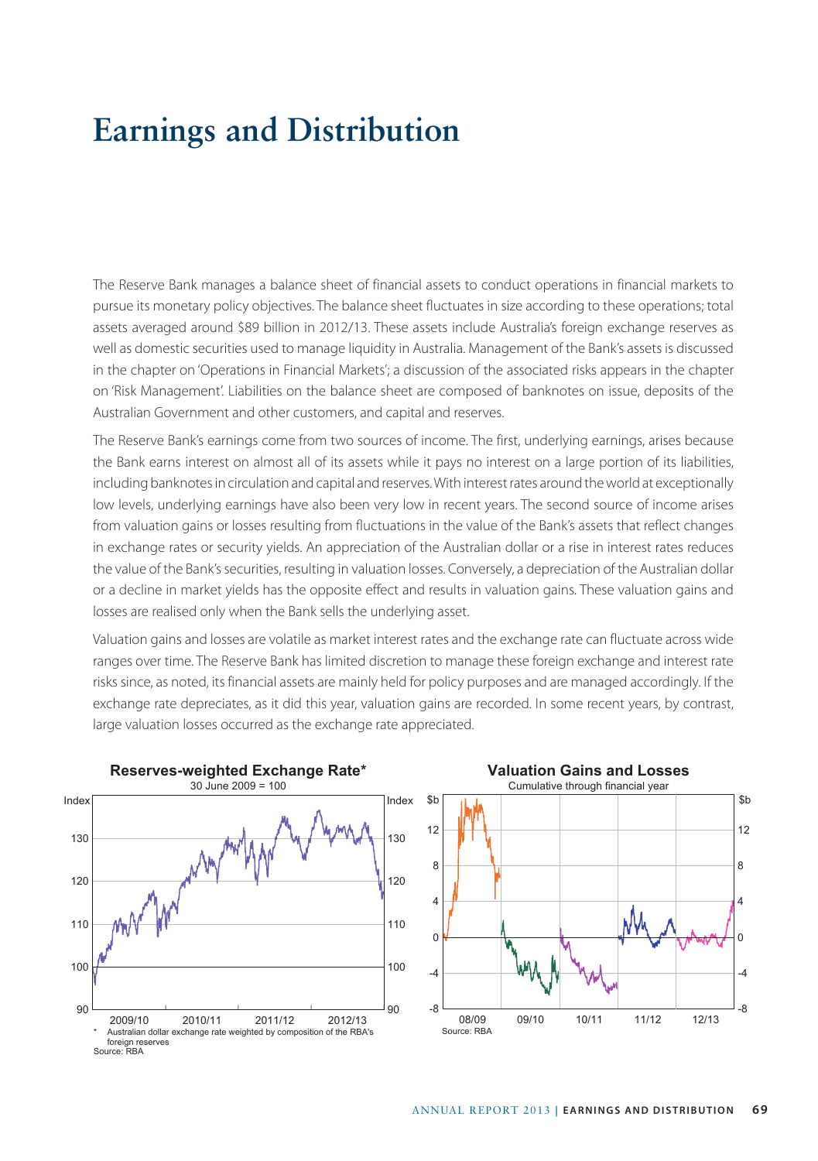## **Earnings and Distribution**

The Reserve Bank manages a balance sheet of financial assets to conduct operations in financial markets to pursue its monetary policy objectives. The balance sheet fluctuates in size according to these operations; total assets averaged around \$89 billion in 2012/13. These assets include Australia's foreign exchange reserves as well as domestic securities used to manage liquidity in Australia. Management of the Bank's assets is discussed in the chapter on 'Operations in Financial Markets'; a discussion of the associated risks appears in the chapter on 'Risk Management'. Liabilities on the balance sheet are composed of banknotes on issue, deposits of the Australian Government and other customers, and capital and reserves.

The Reserve Bank's earnings come from two sources of income. The first, underlying earnings, arises because the Bank earns interest on almost all of its assets while it pays no interest on a large portion of its liabilities, including banknotes in circulation and capital and reserves. With interest rates around the world at exceptionally low levels, underlying earnings have also been very low in recent years. The second source of income arises from valuation gains or losses resulting from fluctuations in the value of the Bank's assets that reflect changes in exchange rates or security yields. An appreciation of the Australian dollar or a rise in interest rates reduces the value of the Bank's securities, resulting in valuation losses. Conversely, a depreciation of the Australian dollar or a decline in market yields has the opposite effect and results in valuation gains. These valuation gains and losses are realised only when the Bank sells the underlying asset.

Valuation gains and losses are volatile as market interest rates and the exchange rate can fluctuate across wide ranges over time. The Reserve Bank has limited discretion to manage these foreign exchange and interest rate risks since, as noted, its financial assets are mainly held for policy purposes and are managed accordingly. If the exchange rate depreciates, as it did this year, valuation gains are recorded. In some recent years, by contrast, large valuation losses occurred as the exchange rate appreciated.



## \$b \$b **Valuation Gains and Losses** Cumulative through financial year 0 4 8 12

-8

12/13

-4

08/09 09/10 10/11 11/12

Source: RBA

-8

-4

 $\Omega$ 

4

8

12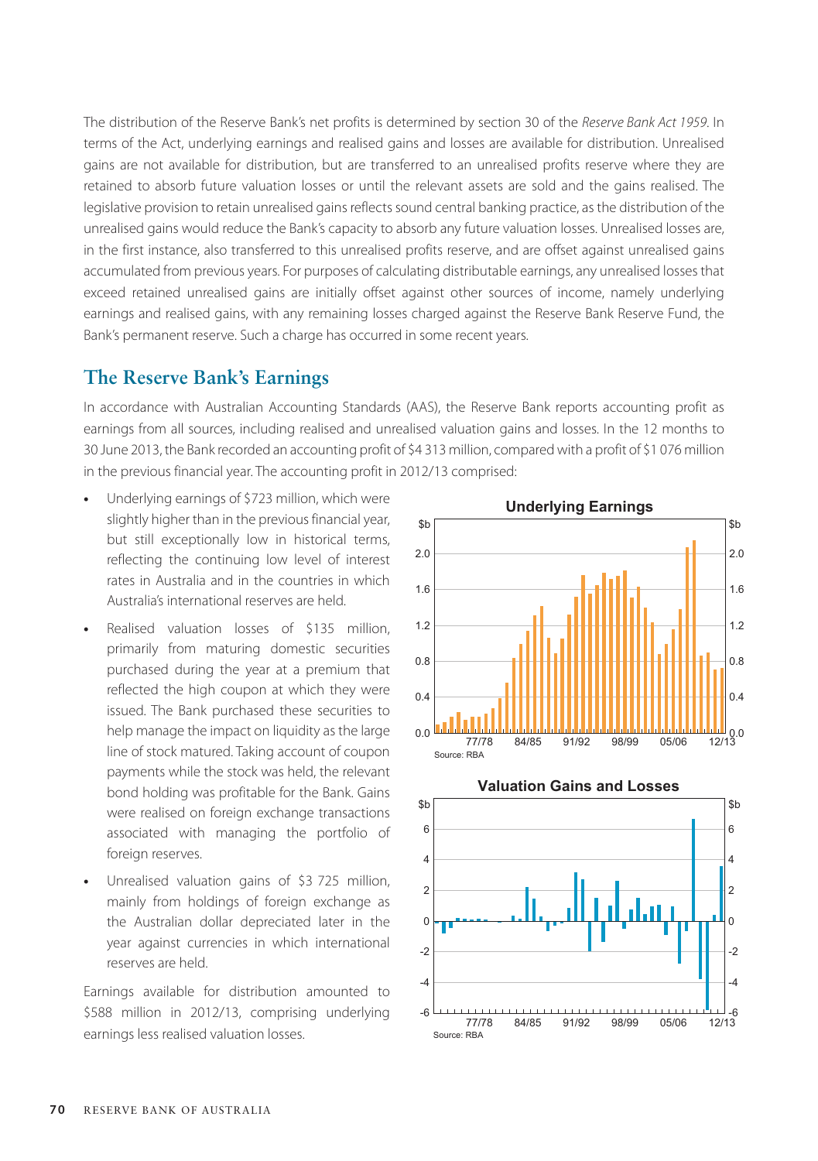The distribution of the Reserve Bank's net profits is determined by section 30 of the *Reserve Bank Act 1959*. In terms of the Act, underlying earnings and realised gains and losses are available for distribution. Unrealised gains are not available for distribution, but are transferred to an unrealised profits reserve where they are retained to absorb future valuation losses or until the relevant assets are sold and the gains realised. The legislative provision to retain unrealised gains reflects sound central banking practice, as the distribution of the unrealised gains would reduce the Bank's capacity to absorb any future valuation losses. Unrealised losses are, in the first instance, also transferred to this unrealised profits reserve, and are offset against unrealised gains accumulated from previous years. For purposes of calculating distributable earnings, any unrealised losses that exceed retained unrealised gains are initially offset against other sources of income, namely underlying earnings and realised gains, with any remaining losses charged against the Reserve Bank Reserve Fund, the Bank's permanent reserve. Such a charge has occurred in some recent years.

## **The Reserve Bank's Earnings**

In accordance with Australian Accounting Standards (AAS), the Reserve Bank reports accounting profit as earnings from all sources, including realised and unrealised valuation gains and losses. In the 12 months to 30 June 2013, the Bank recorded an accounting profit of \$4 313 million, compared with a profit of \$1 076 million in the previous financial year. The accounting profit in 2012/13 comprised:

- **•** Underlying earnings of \$723 million, which were slightly higher than in the previous financial year, but still exceptionally low in historical terms, reflecting the continuing low level of interest rates in Australia and in the countries in which Australia's international reserves are held.
- **•** Realised valuation losses of \$135 million, primarily from maturing domestic securities purchased during the year at a premium that reflected the high coupon at which they were issued. The Bank purchased these securities to help manage the impact on liquidity as the large line of stock matured. Taking account of coupon payments while the stock was held, the relevant bond holding was profitable for the Bank. Gains were realised on foreign exchange transactions associated with managing the portfolio of foreign reserves.
- **•** Unrealised valuation gains of \$3 725 million, mainly from holdings of foreign exchange as the Australian dollar depreciated later in the year against currencies in which international reserves are held.

Earnings available for distribution amounted to \$588 million in 2012/13, comprising underlying earnings less realised valuation losses.



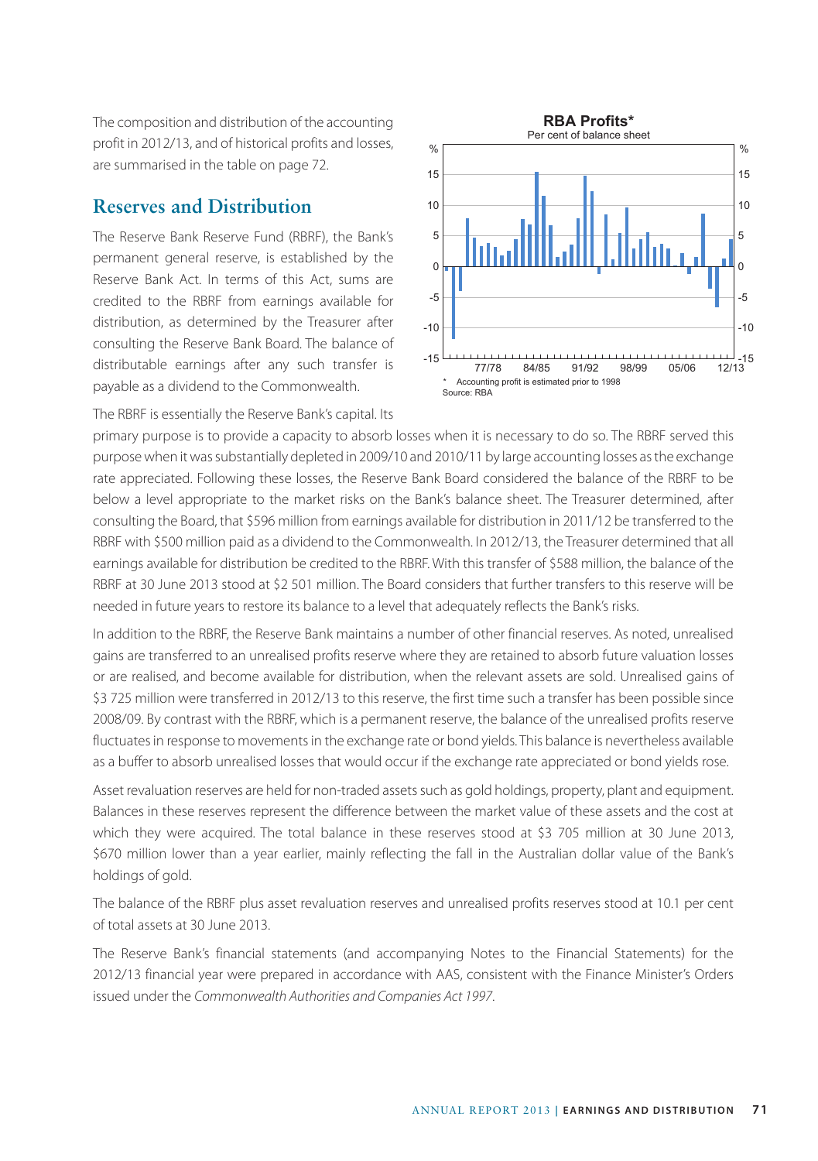The composition and distribution of the accounting profit in 2012/13, and of historical profits and losses, are summarised in the table on page 72.

## **Reserves and Distribution**

The Reserve Bank Reserve Fund (RBRF), the Bank's permanent general reserve, is established by the Reserve Bank Act. In terms of this Act, sums are credited to the RBRF from earnings available for distribution, as determined by the Treasurer after consulting the Reserve Bank Board. The balance of distributable earnings after any such transfer is payable as a dividend to the Commonwealth.



The RBRF is essentially the Reserve Bank's capital. Its

primary purpose is to provide a capacity to absorb losses when it is necessary to do so. The RBRF served this purpose when it was substantially depleted in 2009/10 and 2010/11 by large accounting losses as the exchange rate appreciated. Following these losses, the Reserve Bank Board considered the balance of the RBRF to be below a level appropriate to the market risks on the Bank's balance sheet. The Treasurer determined, after consulting the Board, that \$596 million from earnings available for distribution in 2011/12 be transferred to the RBRF with \$500 million paid as a dividend to the Commonwealth. In 2012/13, the Treasurer determined that all earnings available for distribution be credited to the RBRF. With this transfer of \$588 million, the balance of the RBRF at 30 June 2013 stood at \$2 501 million. The Board considers that further transfers to this reserve will be needed in future years to restore its balance to a level that adequately reflects the Bank's risks.

In addition to the RBRF, the Reserve Bank maintains a number of other financial reserves. As noted, unrealised gains are transferred to an unrealised profits reserve where they are retained to absorb future valuation losses or are realised, and become available for distribution, when the relevant assets are sold. Unrealised gains of \$3 725 million were transferred in 2012/13 to this reserve, the first time such a transfer has been possible since 2008/09. By contrast with the RBRF, which is a permanent reserve, the balance of the unrealised profits reserve fluctuates in response to movements in the exchange rate or bond yields. This balance is nevertheless available as a buffer to absorb unrealised losses that would occur if the exchange rate appreciated or bond yields rose.

Asset revaluation reserves are held for non-traded assets such as gold holdings, property, plant and equipment. Balances in these reserves represent the difference between the market value of these assets and the cost at which they were acquired. The total balance in these reserves stood at \$3 705 million at 30 June 2013, \$670 million lower than a year earlier, mainly reflecting the fall in the Australian dollar value of the Bank's holdings of gold.

The balance of the RBRF plus asset revaluation reserves and unrealised profits reserves stood at 10.1 per cent of total assets at 30 June 2013.

The Reserve Bank's financial statements (and accompanying Notes to the Financial Statements) for the 2012/13 financial year were prepared in accordance with AAS, consistent with the Finance Minister's Orders issued under the *Commonwealth Authorities and Companies Act 1997*.